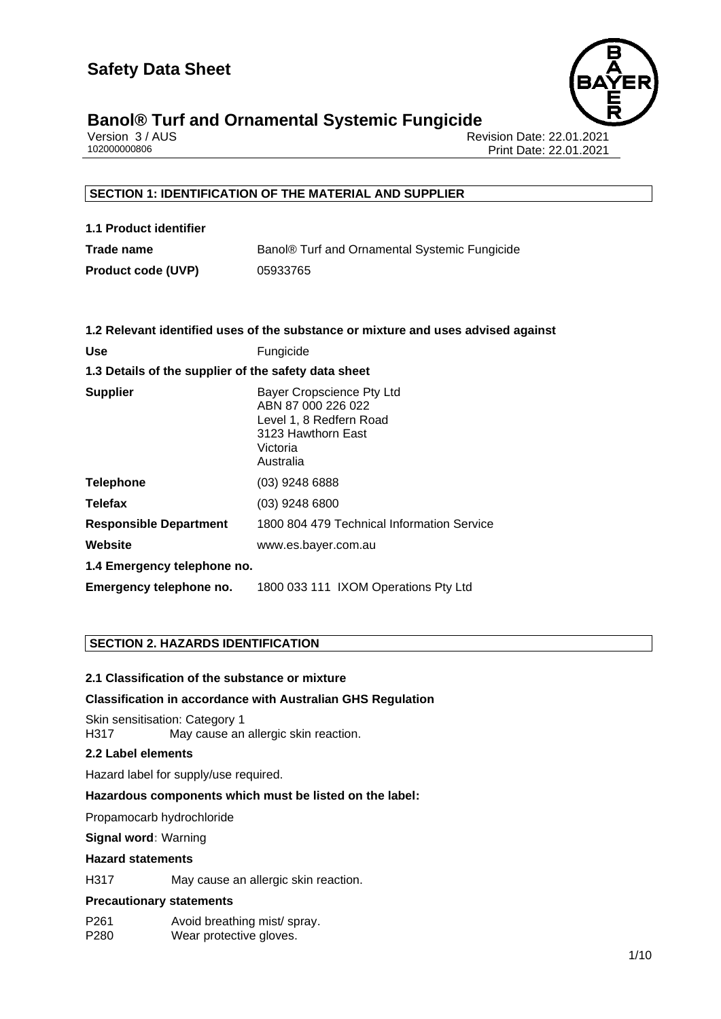

# **Banol® Turf and Ornamental Systemic Fungicide 1/10**

|              | Version 3 / AUS |
|--------------|-----------------|
| 102000000806 |                 |

Revision Date: 22.01.2021 Print Date: 22.01.2021

## **SECTION 1: IDENTIFICATION OF THE MATERIAL AND SUPPLIER**

| 1.1 Product identifier    |                                               |
|---------------------------|-----------------------------------------------|
| Trade name                | Banol® Turf and Ornamental Systemic Fungicide |
| <b>Product code (UVP)</b> | 05933765                                      |

|                                                      | 1.2 Relevant identified uses of the substance or mixture and uses advised against                                         |  |
|------------------------------------------------------|---------------------------------------------------------------------------------------------------------------------------|--|
| <b>Use</b>                                           | Fungicide                                                                                                                 |  |
| 1.3 Details of the supplier of the safety data sheet |                                                                                                                           |  |
| <b>Supplier</b>                                      | Bayer Cropscience Pty Ltd<br>ABN 87 000 226 022<br>Level 1, 8 Redfern Road<br>3123 Hawthorn East<br>Victoria<br>Australia |  |
| <b>Telephone</b>                                     | $(03)$ 9248 6888                                                                                                          |  |
| <b>Telefax</b>                                       | $(03)$ 9248 6800                                                                                                          |  |
| <b>Responsible Department</b>                        | 1800 804 479 Technical Information Service                                                                                |  |
| Website                                              | www.es.bayer.com.au                                                                                                       |  |
| 1.4 Emergency telephone no.                          |                                                                                                                           |  |
| Emergency telephone no.                              | 1800 033 111 IXOM Operations Pty Ltd                                                                                      |  |

## **SECTION 2. HAZARDS IDENTIFICATION**

## **2.1 Classification of the substance or mixture**

## **Classification in accordance with Australian GHS Regulation**

Skin sensitisation: Category 1 H317 May cause an allergic skin reaction.

#### **2.2 Label elements**

Hazard label for supply/use required.

#### **Hazardous components which must be listed on the label:**

• Propamocarb hydrochloride

#### **Signal word:** Warning

#### **Hazard statements**

H317 May cause an allergic skin reaction.

#### **Precautionary statements**

P261 Avoid breathing mist/ spray. P280 Wear protective gloves.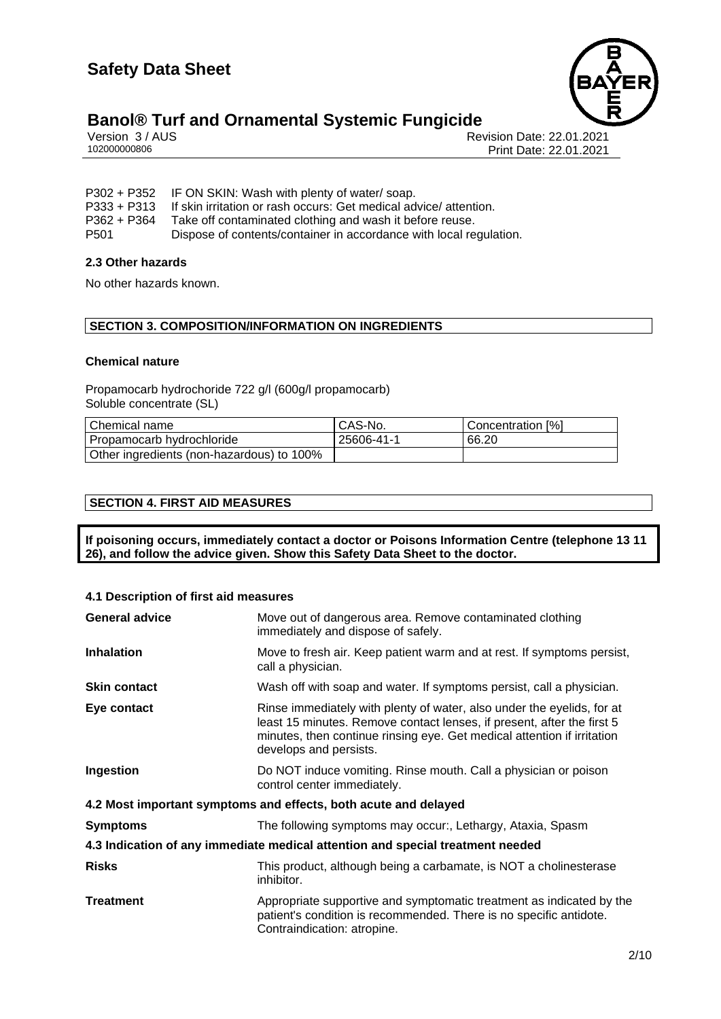

# **Banol® Turf and Ornamental Systemic Fungicide**<br>**Persion 3/AUS**

Version 3 / AUS الكروتي المستخدم المستخدم المستخدم المستخدم المستخدم المستخدم المستخدم المستخدم المستخدم المست<br>102000000806 Print Date: 22.01.2021 Print Date: 22.01.2021

P302 + P352 IF ON SKIN: Wash with plenty of water/ soap.<br>P333 + P313 If skin irritation or rash occurs: Get medical ad P333 + P313 If skin irritation or rash occurs: Get medical advice/ attention.<br>P362 + P364 Take off contaminated clothing and wash it before reuse. Take off contaminated clothing and wash it before reuse. P501 Dispose of contents/container in accordance with local regulation.

## **2.3 Other hazards**

No other hazards known.

## **SECTION 3. COMPOSITION/INFORMATION ON INGREDIENTS**

#### **Chemical nature**

Propamocarb hydrochoride 722 g/l (600g/l propamocarb) Soluble concentrate (SL)

| Chemical name                             | CAS-No.    | Concentration [%] |
|-------------------------------------------|------------|-------------------|
| Propamocarb hydrochloride                 | 25606-41-1 | 66.20             |
| Other ingredients (non-hazardous) to 100% |            |                   |

## **SECTION 4. FIRST AID MEASURES**

**If poisoning occurs, immediately contact a doctor or Poisons Information Centre (telephone 13 11 26), and follow the advice given. Show this Safety Data Sheet to the doctor.**

#### **4.1 Description of first aid measures**

| <b>General advice</b> | Move out of dangerous area. Remove contaminated clothing<br>immediately and dispose of safely.                                                                                                                                                        |
|-----------------------|-------------------------------------------------------------------------------------------------------------------------------------------------------------------------------------------------------------------------------------------------------|
| <b>Inhalation</b>     | Move to fresh air. Keep patient warm and at rest. If symptoms persist,<br>call a physician.                                                                                                                                                           |
| <b>Skin contact</b>   | Wash off with soap and water. If symptoms persist, call a physician.                                                                                                                                                                                  |
| Eye contact           | Rinse immediately with plenty of water, also under the eyelids, for at<br>least 15 minutes. Remove contact lenses, if present, after the first 5<br>minutes, then continue rinsing eye. Get medical attention if irritation<br>develops and persists. |
| Ingestion             | Do NOT induce vomiting. Rinse mouth. Call a physician or poison<br>control center immediately.                                                                                                                                                        |
|                       | 4.2 Most important symptoms and effects, both acute and delayed                                                                                                                                                                                       |
| <b>Symptoms</b>       | The following symptoms may occur:, Lethargy, Ataxia, Spasm                                                                                                                                                                                            |
|                       | 4.3 Indication of any immediate medical attention and special treatment needed                                                                                                                                                                        |
| <b>Risks</b>          | This product, although being a carbamate, is NOT a cholinesterase<br>inhibitor.                                                                                                                                                                       |
| <b>Treatment</b>      | Appropriate supportive and symptomatic treatment as indicated by the<br>patient's condition is recommended. There is no specific antidote.<br>Contraindication: atropine.                                                                             |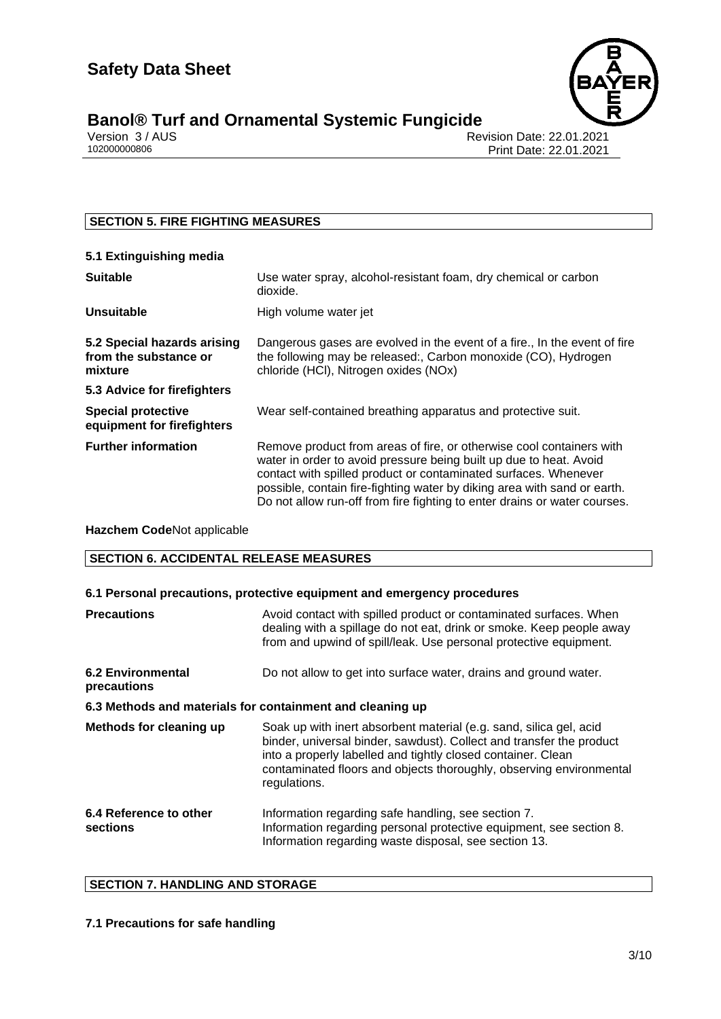

# **Banol® Turf and Ornamental Systemic Fungicide 3/10**

Version 3 / AUS الكروتي المستخدم المستخدم المستخدم المستخدم المستخدم المستخدم المستخدم المستخدم المستخدم المست<br>102000000806 Print Date: 22.01.2021 Print Date: 22.01.2021

## **SECTION 5. FIRE FIGHTING MEASURES**

#### **5.1 Extinguishing media Suitable** Use water spray, alcohol-resistant foam, dry chemical or carbon dioxide. **Unsuitable** High volume water jet **5.2 Special hazards arising from the substance or mixture** Dangerous gases are evolved in the event of a fire., In the event of fire the following may be released:, Carbon monoxide (CO), Hydrogen chloride (HCl), Nitrogen oxides (NOx) **5.3 Advice for firefighters Special protective equipment for firefighters** Wear self-contained breathing apparatus and protective suit. **Further information** Remove product from areas of fire, or otherwise cool containers with water in order to avoid pressure being built up due to heat. Avoid contact with spilled product or contaminated surfaces. Whenever possible, contain fire-fighting water by diking area with sand or earth. Do not allow run-off from fire fighting to enter drains or water courses.

## **Hazchem Code**Not applicable

## **SECTION 6. ACCIDENTAL RELEASE MEASURES**

## **6.1 Personal precautions, protective equipment and emergency procedures**

| <b>Precautions</b>                                        | Avoid contact with spilled product or contaminated surfaces. When<br>dealing with a spillage do not eat, drink or smoke. Keep people away<br>from and upwind of spill/leak. Use personal protective equipment.                                                                                    |  |
|-----------------------------------------------------------|---------------------------------------------------------------------------------------------------------------------------------------------------------------------------------------------------------------------------------------------------------------------------------------------------|--|
| <b>6.2 Environmental</b><br>precautions                   | Do not allow to get into surface water, drains and ground water.                                                                                                                                                                                                                                  |  |
| 6.3 Methods and materials for containment and cleaning up |                                                                                                                                                                                                                                                                                                   |  |
| Methods for cleaning up                                   | Soak up with inert absorbent material (e.g. sand, silica gel, acid<br>binder, universal binder, sawdust). Collect and transfer the product<br>into a properly labelled and tightly closed container. Clean<br>contaminated floors and objects thoroughly, observing environmental<br>regulations. |  |
| 6.4 Reference to other<br>sections                        | Information regarding safe handling, see section 7.<br>Information regarding personal protective equipment, see section 8.<br>Information regarding waste disposal, see section 13.                                                                                                               |  |

## **SECTION 7. HANDLING AND STORAGE**

## **7.1 Precautions for safe handling**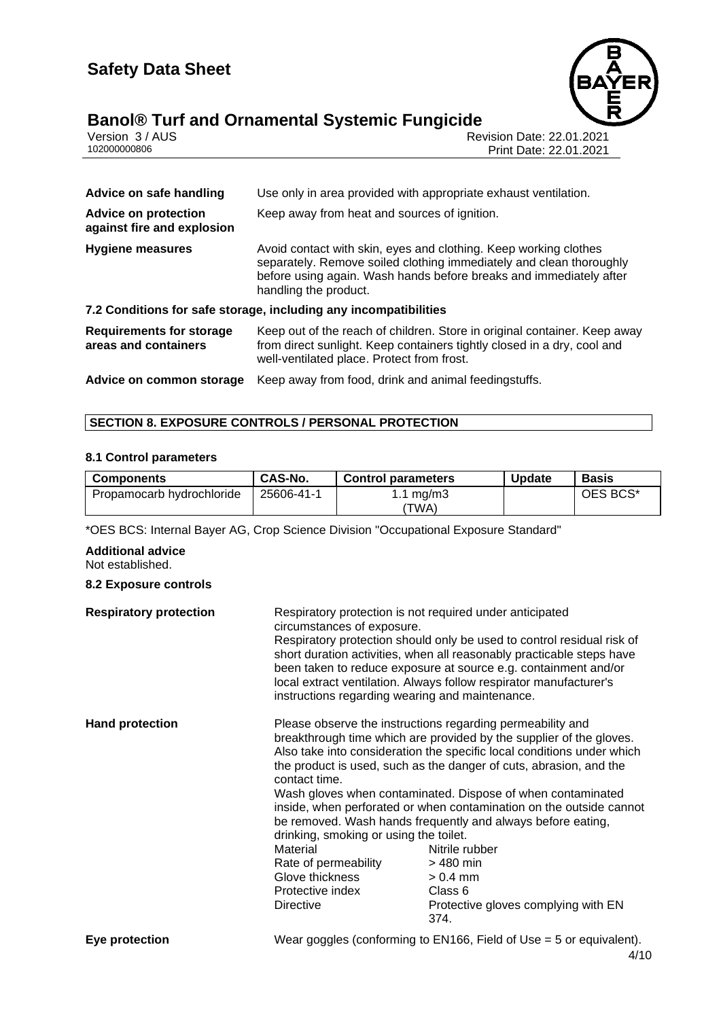

# **Banol® Turf and Ornamental Systemic Fungicide 4/10**

|              | Version 3 / AUS |
|--------------|-----------------|
| 102000000806 |                 |

Revision Date: 22.01.2021 Print Date: 22.01.2021

| Use only in area provided with appropriate exhaust ventilation.                                                                                                                                               |
|---------------------------------------------------------------------------------------------------------------------------------------------------------------------------------------------------------------|
| Keep away from heat and sources of ignition.                                                                                                                                                                  |
| Avoid contact with skin, eyes and clothing. Keep working clothes<br>separately. Remove soiled clothing immediately and clean thoroughly<br>before using again. Wash hands before breaks and immediately after |
| handling the product.                                                                                                                                                                                         |
| 7.2 Conditions for safe storage, including any incompatibilities                                                                                                                                              |
| Keep out of the reach of children. Store in original container. Keep away<br>from direct sunlight. Keep containers tightly closed in a dry, cool and<br>well-ventilated place. Protect from frost.            |
|                                                                                                                                                                                                               |

## **SECTION 8. EXPOSURE CONTROLS / PERSONAL PROTECTION**

## **8.1 Control parameters**

| <b>Components</b>         | CAS-No.    | <b>Control parameters</b> | <b>Update</b> | <b>Basis</b> |
|---------------------------|------------|---------------------------|---------------|--------------|
| Propamocarb hydrochloride | 25606-41-1 | 1.1 mg/m3                 |               | OES BCS*     |
|                           |            | 'TWA)                     |               |              |

\*OES BCS: Internal Bayer AG, Crop Science Division "Occupational Exposure Standard"

**Additional advice** Not established.

#### **8.2 Exposure controls**

| <b>Respiratory protection</b> | Respiratory protection is not required under anticipated<br>circumstances of exposure.<br>instructions regarding wearing and maintenance.              | Respiratory protection should only be used to control residual risk of<br>short duration activities, when all reasonably practicable steps have<br>been taken to reduce exposure at source e.g. containment and/or<br>local extract ventilation. Always follow respirator manufacturer's                                                                                                                                                                                                                                                                                                       |
|-------------------------------|--------------------------------------------------------------------------------------------------------------------------------------------------------|------------------------------------------------------------------------------------------------------------------------------------------------------------------------------------------------------------------------------------------------------------------------------------------------------------------------------------------------------------------------------------------------------------------------------------------------------------------------------------------------------------------------------------------------------------------------------------------------|
| <b>Hand protection</b>        | contact time.<br>drinking, smoking or using the toilet.<br>Material<br>Rate of permeability<br>Glove thickness<br>Protective index<br><b>Directive</b> | Please observe the instructions regarding permeability and<br>breakthrough time which are provided by the supplier of the gloves.<br>Also take into consideration the specific local conditions under which<br>the product is used, such as the danger of cuts, abrasion, and the<br>Wash gloves when contaminated. Dispose of when contaminated<br>inside, when perforated or when contamination on the outside cannot<br>be removed. Wash hands frequently and always before eating,<br>Nitrile rubber<br>$>480$ min<br>$> 0.4$ mm<br>Class 6<br>Protective gloves complying with EN<br>374. |
| Eye protection                |                                                                                                                                                        | Wear goggles (conforming to $EN166$ , Field of Use = 5 or equivalent).                                                                                                                                                                                                                                                                                                                                                                                                                                                                                                                         |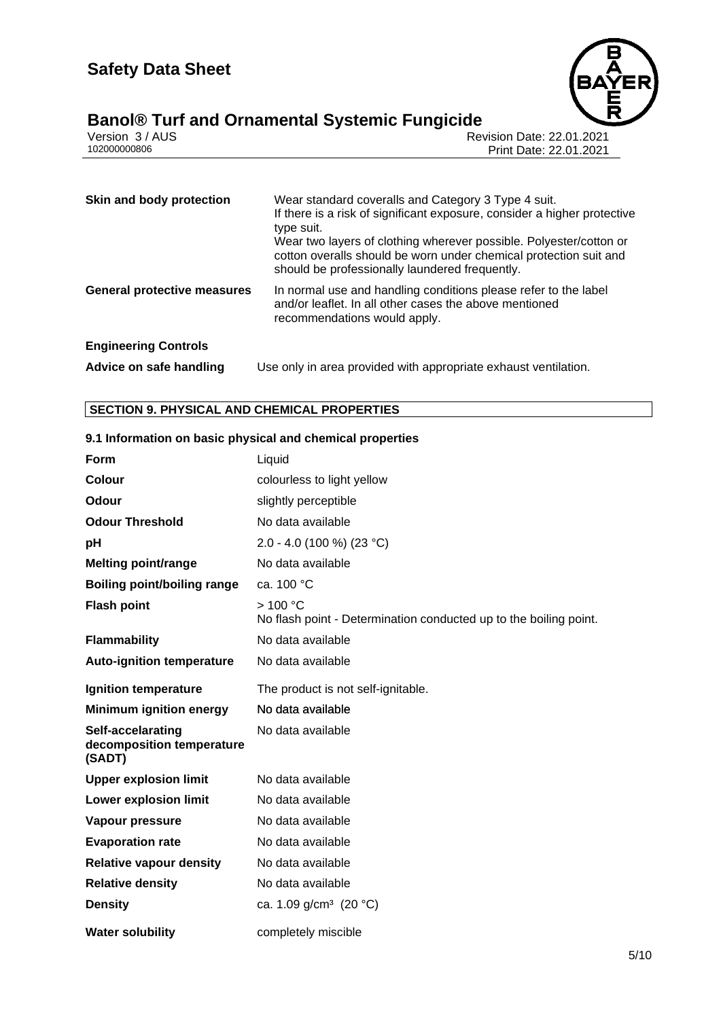

# **Banol® Turf and Ornamental Systemic Fungicide 5/10**

| Version 3 / AUS |  |
|-----------------|--|
| 102000000806    |  |

Revision Date: 22.01.2021 Print Date: 22.01.2021

| Skin and body protection           | Wear standard coveralls and Category 3 Type 4 suit.<br>If there is a risk of significant exposure, consider a higher protective<br>type suit.<br>Wear two layers of clothing wherever possible. Polyester/cotton or<br>cotton overalls should be worn under chemical protection suit and<br>should be professionally laundered frequently. |
|------------------------------------|--------------------------------------------------------------------------------------------------------------------------------------------------------------------------------------------------------------------------------------------------------------------------------------------------------------------------------------------|
| <b>General protective measures</b> | In normal use and handling conditions please refer to the label<br>and/or leaflet. In all other cases the above mentioned<br>recommendations would apply.                                                                                                                                                                                  |
| <b>Engineering Controls</b>        |                                                                                                                                                                                                                                                                                                                                            |
| Advice on safe handling            | Use only in area provided with appropriate exhaust ventilation.                                                                                                                                                                                                                                                                            |

## **SECTION 9. PHYSICAL AND CHEMICAL PROPERTIES**

| Form                                                     | Liquid                                                                       |
|----------------------------------------------------------|------------------------------------------------------------------------------|
| Colour                                                   | colourless to light yellow                                                   |
| Odour                                                    | slightly perceptible                                                         |
| <b>Odour Threshold</b>                                   | No data available                                                            |
| рH                                                       | 2.0 - 4.0 (100 %) (23 °C)                                                    |
| <b>Melting point/range</b>                               | No data available                                                            |
| <b>Boiling point/boiling range</b>                       | ca. 100 °C                                                                   |
| <b>Flash point</b>                                       | >100 °C<br>No flash point - Determination conducted up to the boiling point. |
| <b>Flammability</b>                                      | No data available                                                            |
| <b>Auto-ignition temperature</b>                         | No data available                                                            |
| Ignition temperature                                     | The product is not self-ignitable.                                           |
| <b>Minimum ignition energy</b>                           | No data available                                                            |
| Self-accelarating<br>decomposition temperature<br>(SADT) | No data available                                                            |
| <b>Upper explosion limit</b>                             | No data available                                                            |
| <b>Lower explosion limit</b>                             | No data available                                                            |
| Vapour pressure                                          | No data available                                                            |
| <b>Evaporation rate</b>                                  | No data available                                                            |
| <b>Relative vapour density</b>                           | No data available                                                            |
| <b>Relative density</b>                                  | No data available                                                            |
| <b>Density</b>                                           | ca. 1.09 g/cm <sup>3</sup> (20 °C)                                           |
| <b>Water solubility</b>                                  | completely miscible                                                          |

## **9.1 Information on basic physical and chemical properties**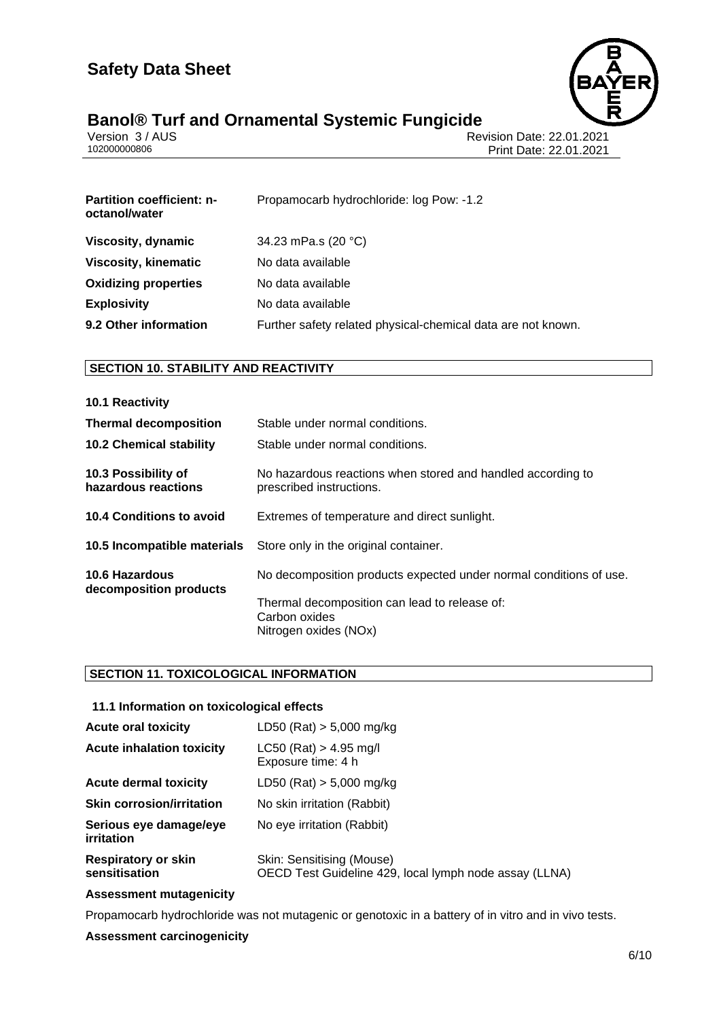

# **Banol® Turf and Ornamental Systemic Fungicide 6/10**

|              | Version 3 / AUS |
|--------------|-----------------|
| 102000000806 |                 |

Revision Date: 22.01.2021 Print Date: 22.01.2021

| <b>Partition coefficient: n-</b><br>octanol/water | Propamocarb hydrochloride: log Pow: -1.2                     |
|---------------------------------------------------|--------------------------------------------------------------|
| Viscosity, dynamic                                | 34.23 mPa.s (20 °C)                                          |
| Viscosity, kinematic                              | No data available                                            |
| <b>Oxidizing properties</b>                       | No data available                                            |
| <b>Explosivity</b>                                | No data available                                            |
| 9.2 Other information                             | Further safety related physical-chemical data are not known. |

## **SECTION 10. STABILITY AND REACTIVITY**

| 10.1 Reactivity                            |                                                                                         |
|--------------------------------------------|-----------------------------------------------------------------------------------------|
| <b>Thermal decomposition</b>               | Stable under normal conditions.                                                         |
| <b>10.2 Chemical stability</b>             | Stable under normal conditions.                                                         |
| 10.3 Possibility of<br>hazardous reactions | No hazardous reactions when stored and handled according to<br>prescribed instructions. |
| 10.4 Conditions to avoid                   | Extremes of temperature and direct sunlight.                                            |
| 10.5 Incompatible materials                | Store only in the original container.                                                   |
| 10.6 Hazardous<br>decomposition products   | No decomposition products expected under normal conditions of use.                      |
|                                            | Thermal decomposition can lead to release of:<br>Carbon oxides<br>Nitrogen oxides (NOx) |

## **SECTION 11. TOXICOLOGICAL INFORMATION**

## **11.1 Information on toxicological effects**

| <b>Acute oral toxicity</b>                  | $LD50$ (Rat) $> 5,000$ mg/kg                                                        |
|---------------------------------------------|-------------------------------------------------------------------------------------|
| <b>Acute inhalation toxicity</b>            | $LC50$ (Rat) > 4.95 mg/l<br>Exposure time: 4 h                                      |
| <b>Acute dermal toxicity</b>                | $LD50$ (Rat) $> 5,000$ mg/kg                                                        |
| <b>Skin corrosion/irritation</b>            | No skin irritation (Rabbit)                                                         |
| Serious eye damage/eye<br>irritation        | No eye irritation (Rabbit)                                                          |
| <b>Respiratory or skin</b><br>sensitisation | Skin: Sensitising (Mouse)<br>OECD Test Guideline 429, local lymph node assay (LLNA) |

## **Assessment mutagenicity**

Propamocarb hydrochloride was not mutagenic or genotoxic in a battery of in vitro and in vivo tests.

## **Assessment carcinogenicity**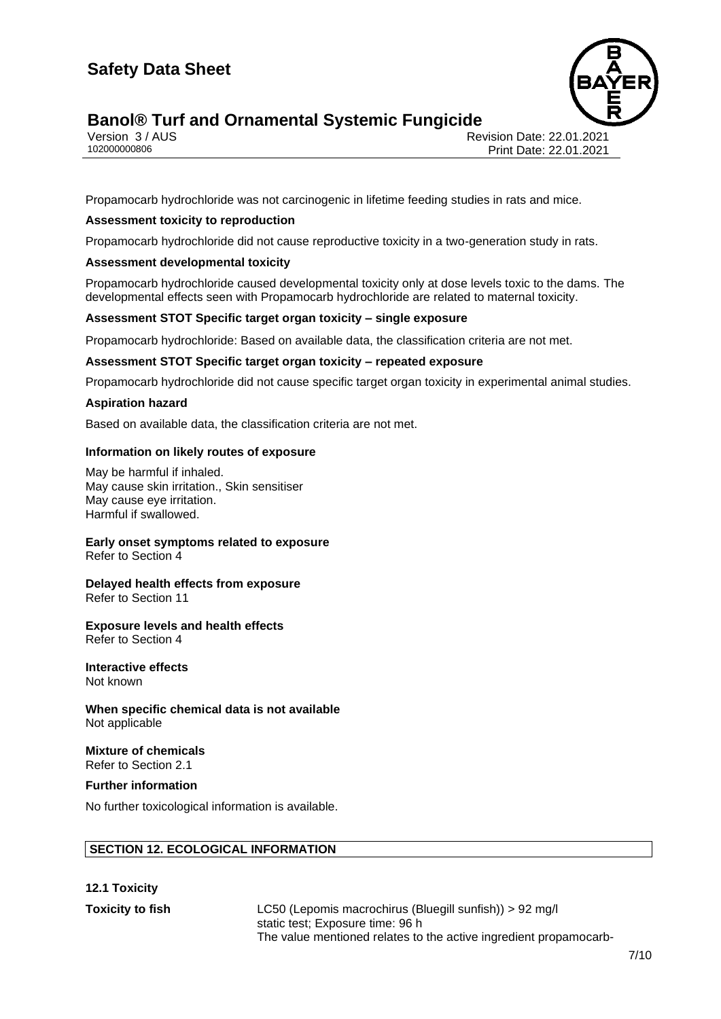

# **Banol<sup>®</sup> Turf and Ornamental Systemic Fungicide**

Version 3 / AUS الكروتي المستخدم المستخدم المستخدم المستخدم المستخدم المستخدم المستخدم المستخدم المستخدم المست<br>102000000806 Print Date: 22.01.2021 Print Date: 22.01.2021

Propamocarb hydrochloride was not carcinogenic in lifetime feeding studies in rats and mice.

#### **Assessment toxicity to reproduction**

Propamocarb hydrochloride did not cause reproductive toxicity in a two-generation study in rats.

#### **Assessment developmental toxicity**

Propamocarb hydrochloride caused developmental toxicity only at dose levels toxic to the dams. The developmental effects seen with Propamocarb hydrochloride are related to maternal toxicity.

#### **Assessment STOT Specific target organ toxicity – single exposure**

Propamocarb hydrochloride: Based on available data, the classification criteria are not met.

#### **Assessment STOT Specific target organ toxicity – repeated exposure**

Propamocarb hydrochloride did not cause specific target organ toxicity in experimental animal studies.

#### **Aspiration hazard**

Based on available data, the classification criteria are not met.

#### **Information on likely routes of exposure**

May be harmful if inhaled. May cause skin irritation., Skin sensitiser May cause eye irritation. Harmful if swallowed.

## **Early onset symptoms related to exposure**

Refer to Section 4

#### **Delayed health effects from exposure** Refer to Section 11

## **Exposure levels and health effects**

Refer to Section 4

#### **Interactive effects** Not known

**When specific chemical data is not available** Not applicable

#### **Mixture of chemicals** Refer to Section 2.1

**Further information**

No further toxicological information is available.

## **SECTION 12. ECOLOGICAL INFORMATION**

## **12.1 Toxicity**

**Toxicity to fish** LC50 (Lepomis macrochirus (Bluegill sunfish)) > 92 mg/l static test; Exposure time: 96 h The value mentioned relates to the active ingredient propamocarb-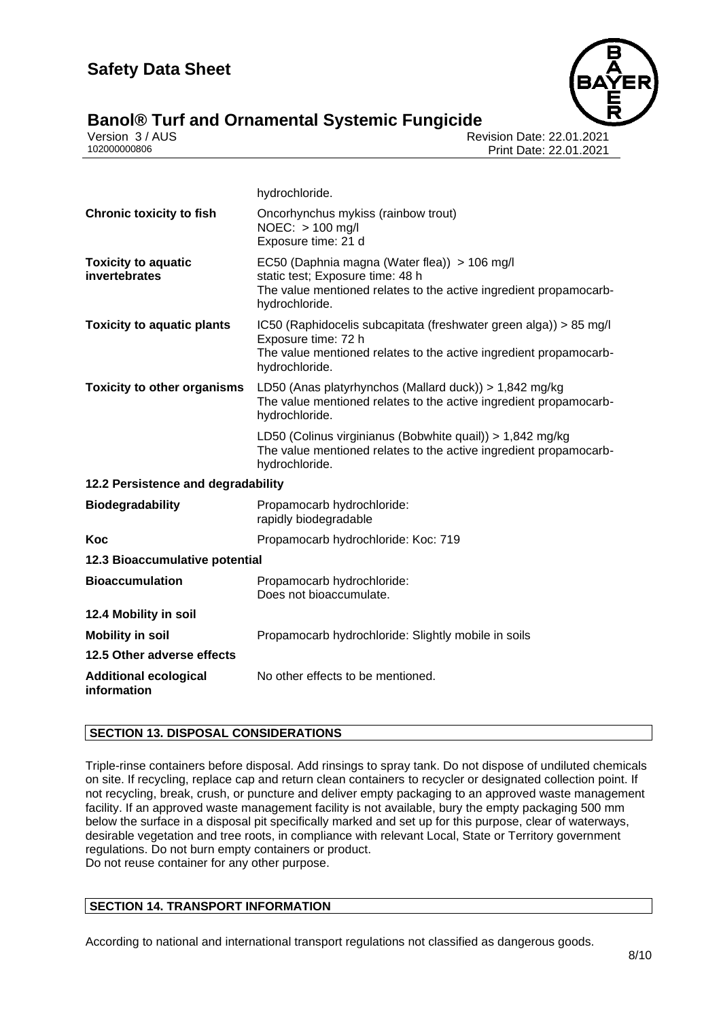

# **Banol® Turf and Ornamental Systemic Fungicide 8/10**

Version 3 / AUS الكروتي المستخدم المستخدم المستخدم المستخدم المستخدم المستخدم المستخدم المستخدم المستخدم المست<br>102000000806 Print Date: 22.01.2021 Print Date: 22.01.2021

|                                             | hydrochloride.                                                                                                                                                                  |
|---------------------------------------------|---------------------------------------------------------------------------------------------------------------------------------------------------------------------------------|
| <b>Chronic toxicity to fish</b>             | Oncorhynchus mykiss (rainbow trout)<br>NOEC: > 100 mg/l<br>Exposure time: 21 d                                                                                                  |
| <b>Toxicity to aquatic</b><br>invertebrates | EC50 (Daphnia magna (Water flea)) > 106 mg/l<br>static test; Exposure time: 48 h<br>The value mentioned relates to the active ingredient propamocarb-<br>hydrochloride.         |
| <b>Toxicity to aquatic plants</b>           | IC50 (Raphidocelis subcapitata (freshwater green alga)) > 85 mg/l<br>Exposure time: 72 h<br>The value mentioned relates to the active ingredient propamocarb-<br>hydrochloride. |
| <b>Toxicity to other organisms</b>          | LD50 (Anas platyrhynchos (Mallard duck)) > 1,842 mg/kg<br>The value mentioned relates to the active ingredient propamocarb-<br>hydrochloride.                                   |
|                                             | LD50 (Colinus virginianus (Bobwhite quail)) > 1,842 mg/kg<br>The value mentioned relates to the active ingredient propamocarb-<br>hydrochloride.                                |
| 12.2 Persistence and degradability          |                                                                                                                                                                                 |
| <b>Biodegradability</b>                     | Propamocarb hydrochloride:<br>rapidly biodegradable                                                                                                                             |
| Koc                                         | Propamocarb hydrochloride: Koc: 719                                                                                                                                             |
| 12.3 Bioaccumulative potential              |                                                                                                                                                                                 |
| <b>Bioaccumulation</b>                      | Propamocarb hydrochloride:<br>Does not bioaccumulate.                                                                                                                           |
| 12.4 Mobility in soil                       |                                                                                                                                                                                 |
| <b>Mobility in soil</b>                     | Propamocarb hydrochloride: Slightly mobile in soils                                                                                                                             |
| 12.5 Other adverse effects                  |                                                                                                                                                                                 |
| <b>Additional ecological</b><br>information | No other effects to be mentioned.                                                                                                                                               |

## **SECTION 13. DISPOSAL CONSIDERATIONS**

Triple-rinse containers before disposal. Add rinsings to spray tank. Do not dispose of undiluted chemicals on site. If recycling, replace cap and return clean containers to recycler or designated collection point. If not recycling, break, crush, or puncture and deliver empty packaging to an approved waste management facility. If an approved waste management facility is not available, bury the empty packaging 500 mm below the surface in a disposal pit specifically marked and set up for this purpose, clear of waterways, desirable vegetation and tree roots, in compliance with relevant Local, State or Territory government regulations. Do not burn empty containers or product. Do not reuse container for any other purpose.

## **SECTION 14. TRANSPORT INFORMATION**

According to national and international transport regulations not classified as dangerous goods.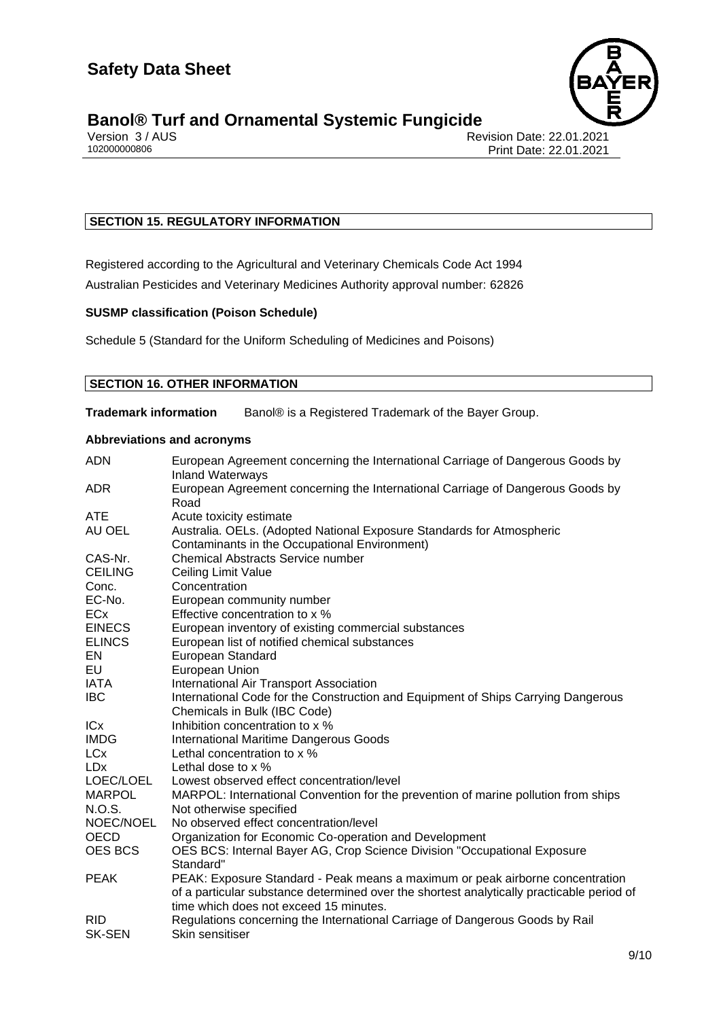

# **Banol® Turf and Ornamental Systemic Fungicide**<br>**Persion 3/AUS**

Version 3 / AUS Revision Date: 22.01.2021 Print Date: 22.01.2021

## **SECTION 15. REGULATORY INFORMATION**

Registered according to the Agricultural and Veterinary Chemicals Code Act 1994

Australian Pesticides and Veterinary Medicines Authority approval number: 62826

## **SUSMP classification (Poison Schedule)**

Schedule 5 (Standard for the Uniform Scheduling of Medicines and Poisons)

## **SECTION 16. OTHER INFORMATION**

**Trademark information** Banol® is a Registered Trademark of the Bayer Group.

## **Abbreviations and acronyms**

| <b>ADN</b>     | European Agreement concerning the International Carriage of Dangerous Goods by<br><b>Inland Waterways</b> |
|----------------|-----------------------------------------------------------------------------------------------------------|
| <b>ADR</b>     | European Agreement concerning the International Carriage of Dangerous Goods by<br>Road                    |
| <b>ATE</b>     | Acute toxicity estimate                                                                                   |
| AU OEL         | Australia. OELs. (Adopted National Exposure Standards for Atmospheric                                     |
|                | Contaminants in the Occupational Environment)                                                             |
| CAS-Nr.        | <b>Chemical Abstracts Service number</b>                                                                  |
| <b>CEILING</b> | Ceiling Limit Value                                                                                       |
| Conc.          | Concentration                                                                                             |
| EC-No.         | European community number                                                                                 |
| <b>ECx</b>     | Effective concentration to x %                                                                            |
| <b>EINECS</b>  | European inventory of existing commercial substances                                                      |
| <b>ELINCS</b>  | European list of notified chemical substances                                                             |
| EN             | <b>European Standard</b>                                                                                  |
| EU             | European Union                                                                                            |
| IATA           | International Air Transport Association                                                                   |
| <b>IBC</b>     | International Code for the Construction and Equipment of Ships Carrying Dangerous                         |
|                | Chemicals in Bulk (IBC Code)                                                                              |
| ICx            | Inhibition concentration to x %                                                                           |
| <b>IMDG</b>    | International Maritime Dangerous Goods                                                                    |
| <b>LCx</b>     | Lethal concentration to x %                                                                               |
| <b>LDx</b>     | Lethal dose to $\times$ %                                                                                 |
| LOEC/LOEL      | Lowest observed effect concentration/level                                                                |
| <b>MARPOL</b>  | MARPOL: International Convention for the prevention of marine pollution from ships                        |
| N.O.S.         | Not otherwise specified                                                                                   |
| NOEC/NOEL      | No observed effect concentration/level                                                                    |
| OECD           | Organization for Economic Co-operation and Development                                                    |
| <b>OES BCS</b> | OES BCS: Internal Bayer AG, Crop Science Division "Occupational Exposure                                  |
|                | Standard"                                                                                                 |
| <b>PEAK</b>    | PEAK: Exposure Standard - Peak means a maximum or peak airborne concentration                             |
|                | of a particular substance determined over the shortest analytically practicable period of                 |
|                | time which does not exceed 15 minutes.                                                                    |
| <b>RID</b>     | Regulations concerning the International Carriage of Dangerous Goods by Rail                              |
| <b>SK-SEN</b>  | Skin sensitiser                                                                                           |